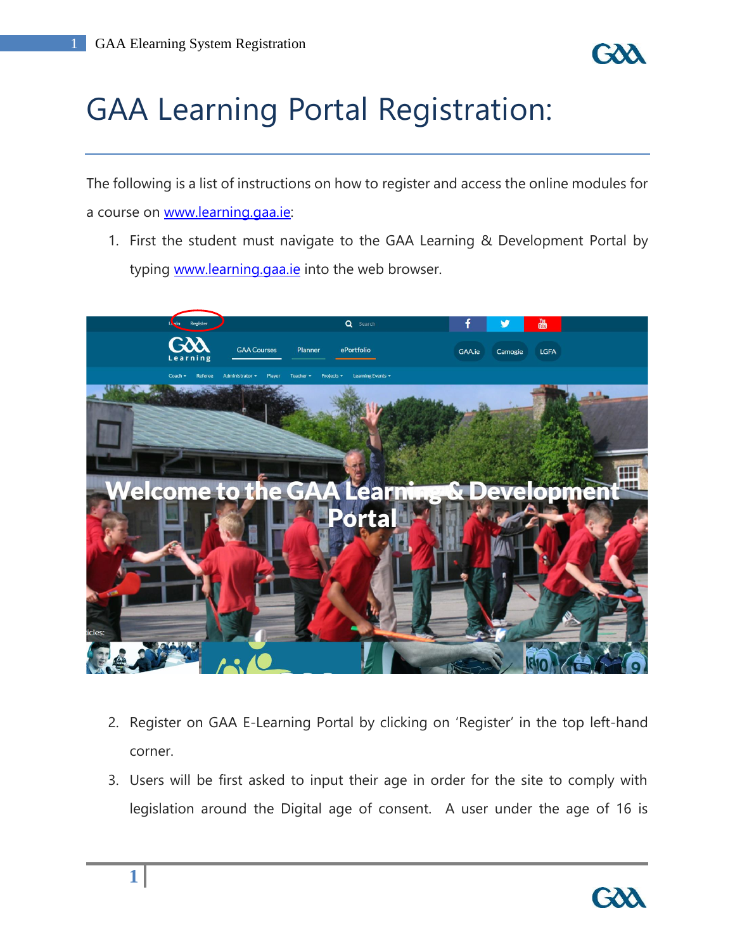

# GAA Learning Portal Registration:

The following is a list of instructions on how to register and access the online modules for a course on [www.learning.gaa.ie:](http://www.learning.gaa.ie/)

1. First the student must navigate to the GAA Learning & Development Portal by typing [www.learning.gaa.ie](http://www.learning.gaa.ie/) into the web browser.



- 2. Register on GAA E-Learning Portal by clicking on 'Register' in the top left-hand corner.
- 3. Users will be first asked to input their age in order for the site to comply with legislation around the Digital age of consent. A user under the age of 16 is

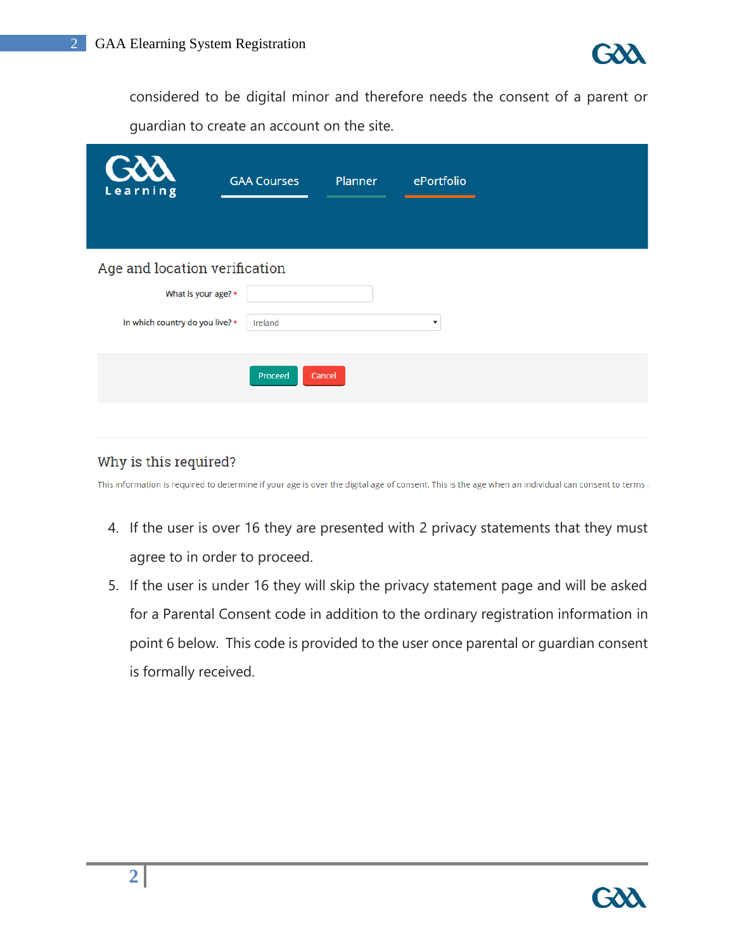

considered to be digital minor and therefore needs the consent of a parent or guardian to create an account on the site.

| GOO<br>Learning                 | Planner<br>ePortfolio<br><b>GAA Courses</b> |  |  |
|---------------------------------|---------------------------------------------|--|--|
| Age and location verification   |                                             |  |  |
| What is your age? *             |                                             |  |  |
| In which country do you live? * | Ireland<br>$\boldsymbol{\mathrm{v}}$        |  |  |
|                                 | Proceed<br>Cancel                           |  |  |

#### Why is this required?

This information is required to determine if your age is over the digital age of consent. This is the age when an individual can consent to terms and

- 4. If the user is over 16 they are presented with 2 privacy statements that they must agree to in order to proceed.
- 5. If the user is under 16 they will skip the privacy statement page and will be asked for a Parental Consent code in addition to the ordinary registration information in point 6 below. This code is provided to the user once parental or guardian consent is formally received.

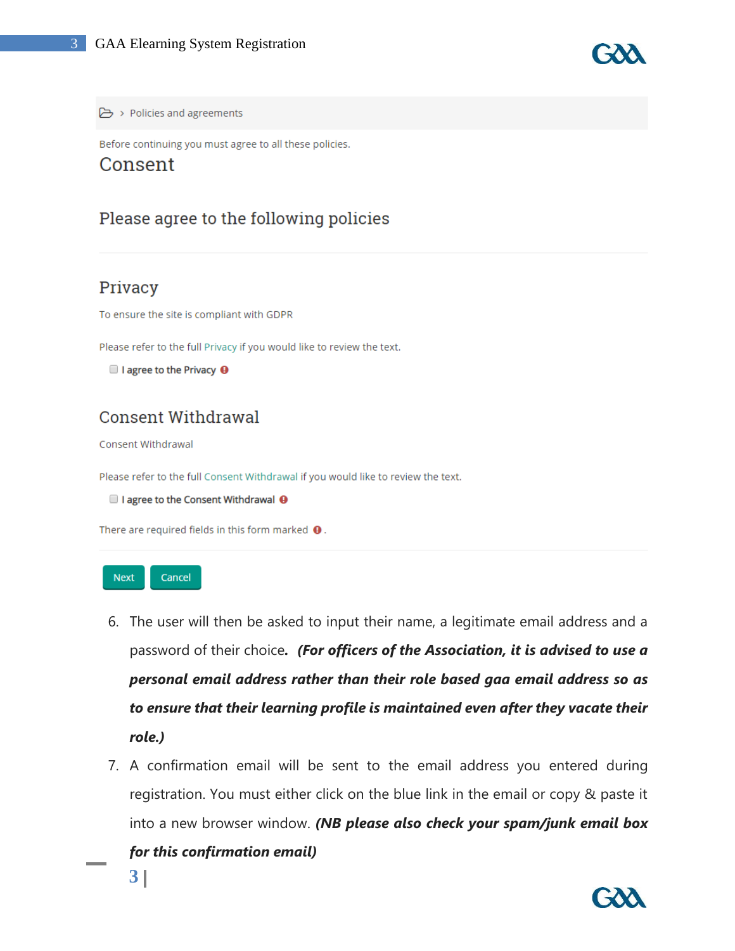

Policies and agreements

Before continuing you must agree to all these policies.

#### Consent

### Please agree to the following policies

#### Privacy

To ensure the site is compliant with GDPR

Please refer to the full Privacy if you would like to review the text.

```
\blacksquare I agree to the Privacy \blacksquare
```
## **Consent Withdrawal**

Consent Withdrawal

Please refer to the full Consent Withdrawal if you would like to review the text.

 $\Box$  I agree to the Consent Withdrawal  $\Theta$ 

There are required fields in this form marked  $\mathbf \Theta$ .



- 6. The user will then be asked to input their name, a legitimate email address and a password of their choice*. (For officers of the Association, it is advised to use a personal email address rather than their role based gaa email address so as to ensure that their learning profile is maintained even after they vacate their role.)*
- 7. A confirmation email will be sent to the email address you entered during registration. You must either click on the blue link in the email or copy & paste it into a new browser window. *(NB please also check your spam/junk email box*

*for this confirmation email)*

**3**

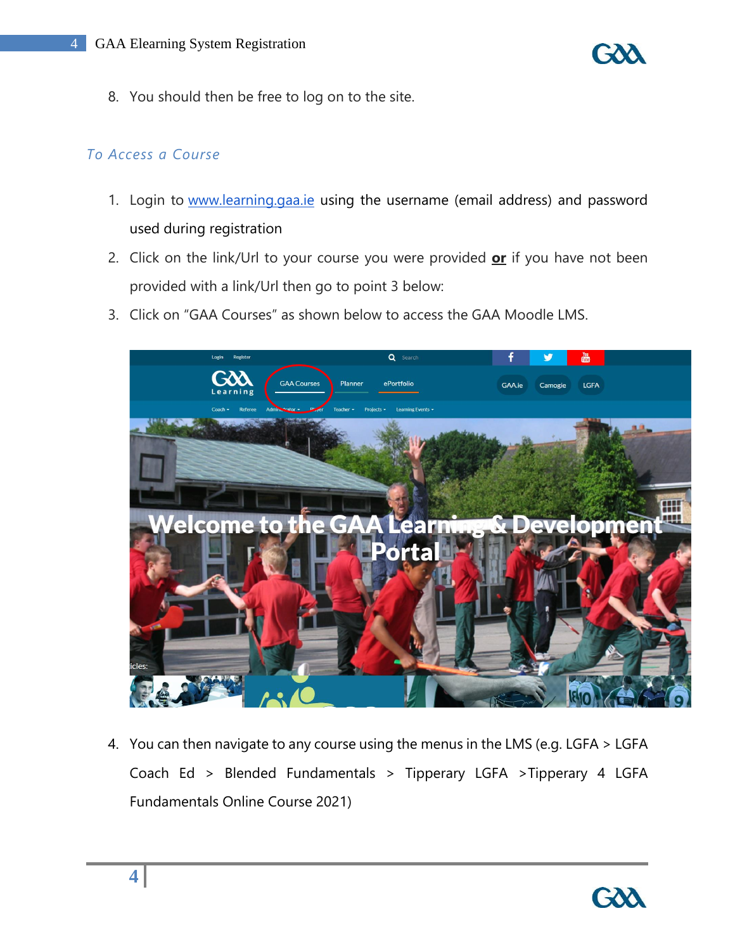

8. You should then be free to log on to the site.

#### *To Access a Course*

- 1. Login to [www.learning.gaa.ie](http://www.learning.gaa.ie/) using the username (email address) and password used during registration
- 2. Click on the link/Url to your course you were provided **or** if you have not been provided with a link/Url then go to point 3 below:
- 3. Click on "GAA Courses" as shown below to access the GAA Moodle LMS.



4. You can then navigate to any course using the menus in the LMS (e.g. LGFA > LGFA Coach Ed > Blended Fundamentals > Tipperary LGFA >Tipperary 4 LGFA Fundamentals Online Course 2021)